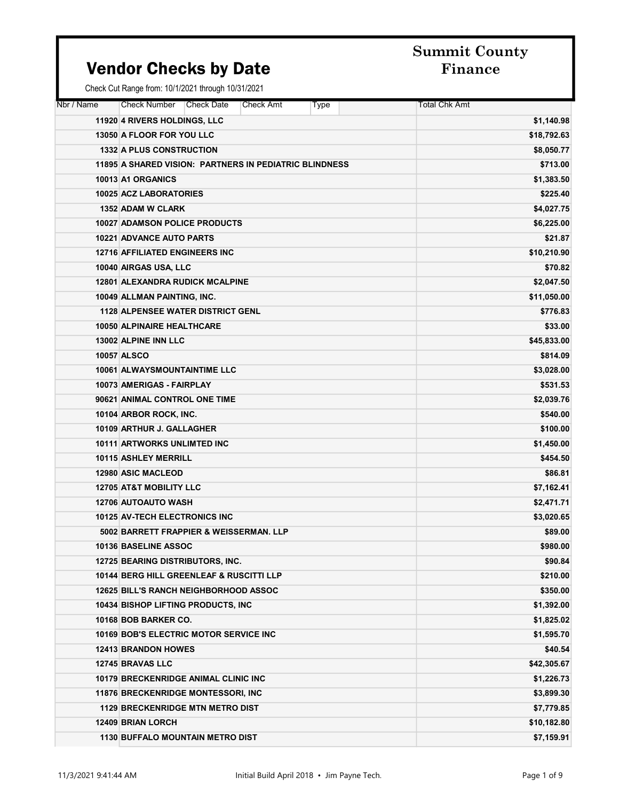### Vendor Checks by Date Finance

| Nbr / Name | Check Number<br><b>Check Date</b><br>Check Amt<br>Type | <b>Total Chk Amt</b> |
|------------|--------------------------------------------------------|----------------------|
|            | 11920 4 RIVERS HOLDINGS, LLC                           | \$1,140.98           |
|            | 13050 A FLOOR FOR YOU LLC                              | \$18,792.63          |
|            | <b>1332 A PLUS CONSTRUCTION</b>                        | \$8,050.77           |
|            | 11895 A SHARED VISION: PARTNERS IN PEDIATRIC BLINDNESS | \$713.00             |
|            | 10013 A1 ORGANICS                                      | \$1,383.50           |
|            | 10025 ACZ LABORATORIES                                 | \$225.40             |
|            | <b>1352 ADAM W CLARK</b>                               | \$4,027.75           |
|            | <b>10027 ADAMSON POLICE PRODUCTS</b>                   | \$6,225.00           |
|            | <b>10221 ADVANCE AUTO PARTS</b>                        | \$21.87              |
|            | <b>12716 AFFILIATED ENGINEERS INC</b>                  | \$10,210.90          |
|            | 10040 AIRGAS USA, LLC                                  | \$70.82              |
|            | <b>12801 ALEXANDRA RUDICK MCALPINE</b>                 | \$2,047.50           |
|            | 10049 ALLMAN PAINTING, INC.                            | \$11,050.00          |
|            | <b>1128 ALPENSEE WATER DISTRICT GENL</b>               | \$776.83             |
|            | 10050 ALPINAIRE HEALTHCARE                             | \$33.00              |
|            | 13002 ALPINE INN LLC                                   | \$45,833.00          |
|            | 10057 ALSCO                                            | \$814.09             |
|            | 10061 ALWAYSMOUNTAINTIME LLC                           | \$3,028.00           |
|            | 10073 AMERIGAS - FAIRPLAY                              | \$531.53             |
|            | 90621 ANIMAL CONTROL ONE TIME                          | \$2,039.76           |
|            | 10104 ARBOR ROCK, INC.                                 | \$540.00             |
|            | 10109 ARTHUR J. GALLAGHER                              | \$100.00             |
|            | <b>10111 ARTWORKS UNLIMTED INC</b>                     | \$1,450.00           |
|            | <b>10115 ASHLEY MERRILL</b>                            | \$454.50             |
|            | 12980 ASIC MACLEOD                                     | \$86.81              |
|            | <b>12705 AT&amp;T MOBILITY LLC</b>                     | \$7,162.41           |
|            | <b>12706 AUTOAUTO WASH</b>                             | \$2,471.71           |
|            | <b>10125 AV-TECH ELECTRONICS INC</b>                   | \$3,020.65           |
|            | 5002 BARRETT FRAPPIER & WEISSERMAN, LLP                | \$89.00              |
|            | 10136 BASELINE ASSOC                                   | \$980.00             |
|            | <b>12725 BEARING DISTRIBUTORS, INC.</b>                | \$90.84              |
|            | 10144 BERG HILL GREENLEAF & RUSCITTI LLP               | \$210.00             |
|            | 12625 BILL'S RANCH NEIGHBORHOOD ASSOC                  | \$350.00             |
|            | 10434 BISHOP LIFTING PRODUCTS, INC                     | \$1,392.00           |
|            | 10168 BOB BARKER CO.                                   | \$1,825.02           |
|            | 10169 BOB'S ELECTRIC MOTOR SERVICE INC                 | \$1,595.70           |
|            | <b>12413 BRANDON HOWES</b>                             | \$40.54              |
|            | 12745 BRAVAS LLC                                       | \$42,305.67          |
|            | <b>10179 BRECKENRIDGE ANIMAL CLINIC INC.</b>           | \$1,226.73           |
|            | <b>11876 BRECKENRIDGE MONTESSORI, INC.</b>             | \$3,899.30           |
|            | <b>1129 BRECKENRIDGE MTN METRO DIST</b>                | \$7,779.85           |
|            | <b>12409 BRIAN LORCH</b>                               | \$10,182.80          |
|            | <b>1130 BUFFALO MOUNTAIN METRO DIST</b>                | \$7,159.91           |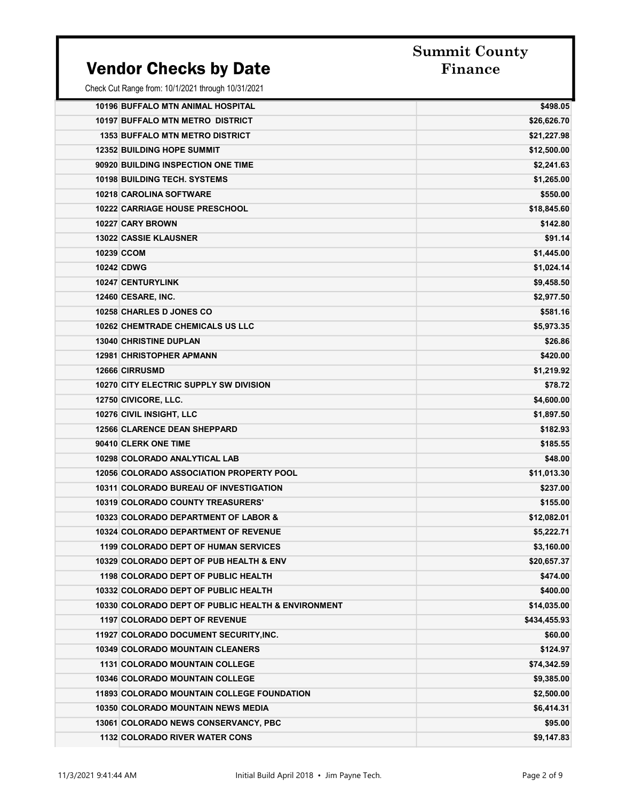#### Vendor Checks by Date

# Summit County

| 10196 BUFFALO MTN ANIMAL HOSPITAL                  | \$498.05     |
|----------------------------------------------------|--------------|
| 10197 BUFFALO MTN METRO DISTRICT                   | \$26,626.70  |
| <b>1353 BUFFALO MTN METRO DISTRICT</b>             | \$21,227.98  |
| <b>12352 BUILDING HOPE SUMMIT</b>                  | \$12,500.00  |
| 90920 BUILDING INSPECTION ONE TIME                 | \$2,241.63   |
| <b>10198 BUILDING TECH, SYSTEMS</b>                | \$1,265.00   |
| <b>10218 CAROLINA SOFTWARE</b>                     | \$550.00     |
| 10222 CARRIAGE HOUSE PRESCHOOL                     | \$18,845.60  |
| 10227 CARY BROWN                                   | \$142.80     |
| <b>13022 CASSIE KLAUSNER</b>                       | \$91.14      |
| 10239 CCOM                                         | \$1,445.00   |
| <b>10242 CDWG</b>                                  | \$1,024.14   |
| <b>10247 CENTURYLINK</b>                           | \$9,458.50   |
| 12460 CESARE, INC.                                 | \$2,977.50   |
| 10258 CHARLES D JONES CO                           | \$581.16     |
| <b>10262 CHEMTRADE CHEMICALS US LLC</b>            | \$5,973.35   |
| <b>13040 CHRISTINE DUPLAN</b>                      | \$26.86      |
| <b>12981 CHRISTOPHER APMANN</b>                    | \$420.00     |
| <b>12666 CIRRUSMD</b>                              | \$1,219.92   |
| 10270 CITY ELECTRIC SUPPLY SW DIVISION             | \$78.72      |
| 12750 CIVICORE, LLC.                               | \$4,600.00   |
| 10276 CIVIL INSIGHT, LLC                           | \$1,897.50   |
| <b>12566 CLARENCE DEAN SHEPPARD</b>                | \$182.93     |
| 90410 CLERK ONE TIME                               | \$185.55     |
| <b>10298 COLORADO ANALYTICAL LAB</b>               | \$48.00      |
| <b>12056 COLORADO ASSOCIATION PROPERTY POOL</b>    | \$11,013.30  |
| 10311 COLORADO BUREAU OF INVESTIGATION             | \$237.00     |
| <b>10319 COLORADO COUNTY TREASURERS'</b>           | \$155.00     |
| 10323 COLORADO DEPARTMENT OF LABOR &               | \$12,082.01  |
| <b>10324 COLORADO DEPARTMENT OF REVENUE</b>        | \$5,222.71   |
| <b>1199 COLORADO DEPT OF HUMAN SERVICES</b>        | \$3,160.00   |
| 10329 COLORADO DEPT OF PUB HEALTH & ENV            | \$20,657.37  |
| 1198 COLORADO DEPT OF PUBLIC HEALTH                | \$474.00     |
| 10332 COLORADO DEPT OF PUBLIC HEALTH               | \$400.00     |
| 10330 COLORADO DEPT OF PUBLIC HEALTH & ENVIRONMENT | \$14,035.00  |
| <b>1197 COLORADO DEPT OF REVENUE</b>               | \$434,455.93 |
| 11927 COLORADO DOCUMENT SECURITY, INC.             | \$60.00      |
| <b>10349 COLORADO MOUNTAIN CLEANERS</b>            | \$124.97     |
| <b>1131 COLORADO MOUNTAIN COLLEGE</b>              | \$74,342.59  |
| <b>10346 COLORADO MOUNTAIN COLLEGE</b>             | \$9,385.00   |
| <b>11893 COLORADO MOUNTAIN COLLEGE FOUNDATION</b>  | \$2,500.00   |
| <b>10350 COLORADO MOUNTAIN NEWS MEDIA</b>          | \$6,414.31   |
| 13061 COLORADO NEWS CONSERVANCY, PBC               | \$95.00      |
| <b>1132 COLORADO RIVER WATER CONS</b>              | \$9,147.83   |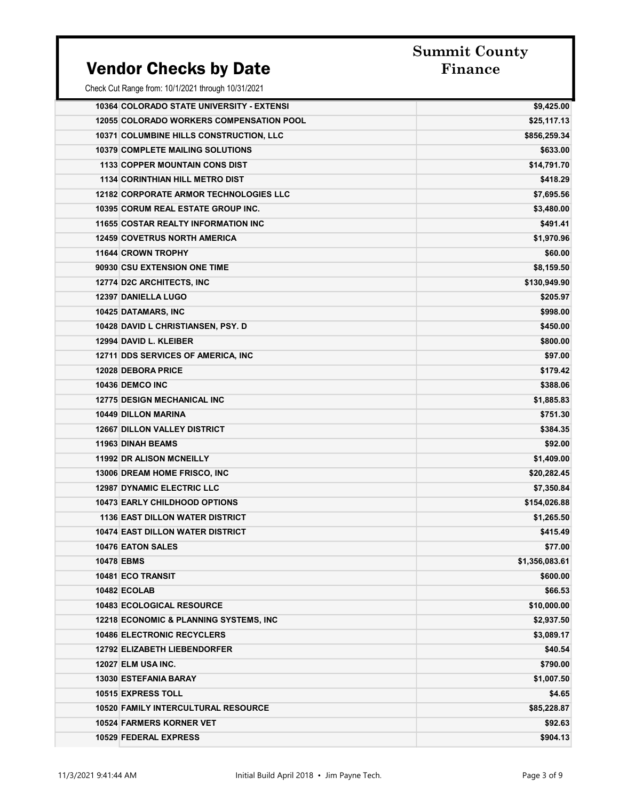#### Vendor Checks by Date

| 10364 COLORADO STATE UNIVERSITY - EXTENSI         | \$9,425.00     |
|---------------------------------------------------|----------------|
| <b>12055 COLORADO WORKERS COMPENSATION POOL</b>   | \$25,117.13    |
| 10371 COLUMBINE HILLS CONSTRUCTION, LLC           | \$856,259.34   |
| <b>10379 COMPLETE MAILING SOLUTIONS</b>           | \$633.00       |
| <b>1133 COPPER MOUNTAIN CONS DIST</b>             | \$14,791.70    |
| <b>1134 CORINTHIAN HILL METRO DIST</b>            | \$418.29       |
| <b>12182 CORPORATE ARMOR TECHNOLOGIES LLC</b>     | \$7,695.56     |
| <b>10395 CORUM REAL ESTATE GROUP INC.</b>         | \$3,480.00     |
| <b>11655 COSTAR REALTY INFORMATION INC</b>        | \$491.41       |
| <b>12459 COVETRUS NORTH AMERICA</b>               | \$1,970.96     |
| <b>11644 CROWN TROPHY</b>                         | \$60.00        |
| 90930 CSU EXTENSION ONE TIME                      | \$8,159.50     |
| 12774 D2C ARCHITECTS, INC                         | \$130,949.90   |
| 12397 DANIELLA LUGO                               | \$205.97       |
| 10425 DATAMARS, INC                               | \$998.00       |
| 10428 DAVID L CHRISTIANSEN, PSY. D                | \$450.00       |
| 12994 DAVID L. KLEIBER                            | \$800.00       |
| 12711 DDS SERVICES OF AMERICA, INC.               | \$97.00        |
| <b>12028 DEBORA PRICE</b>                         | \$179.42       |
| <b>10436 DEMCO INC</b>                            | \$388.06       |
| <b>12775 DESIGN MECHANICAL INC</b>                | \$1,885.83     |
| <b>10449 DILLON MARINA</b>                        | \$751.30       |
| <b>12667 DILLON VALLEY DISTRICT</b>               | \$384.35       |
| <b>11963 DINAH BEAMS</b>                          | \$92.00        |
| <b>11992 DR ALISON MCNEILLY</b>                   | \$1,409.00     |
| 13006 DREAM HOME FRISCO, INC                      | \$20,282.45    |
| <b>12987 DYNAMIC ELECTRIC LLC</b>                 | \$7,350.84     |
| <b>10473 EARLY CHILDHOOD OPTIONS</b>              | \$154,026.88   |
| <b>1136 EAST DILLON WATER DISTRICT</b>            | \$1,265.50     |
| <b>10474 EAST DILLON WATER DISTRICT</b>           | \$415.49       |
| <b>10476 EATON SALES</b>                          | \$77.00        |
| <b>10478 EBMS</b>                                 | \$1,356,083.61 |
| 10481 ECO TRANSIT                                 | \$600.00       |
| 10482 ECOLAB                                      | \$66.53        |
| <b>10483 ECOLOGICAL RESOURCE</b>                  | \$10,000.00    |
| <b>12218 ECONOMIC &amp; PLANNING SYSTEMS, INC</b> | \$2,937.50     |
| <b>10486 ELECTRONIC RECYCLERS</b>                 | \$3,089.17     |
| <b>12792 ELIZABETH LIEBENDORFER</b>               | \$40.54        |
| 12027 ELM USA INC.                                | \$790.00       |
| <b>13030 ESTEFANIA BARAY</b>                      | \$1,007.50     |
| 10515 EXPRESS TOLL                                | \$4.65         |
| <b>10520 FAMILY INTERCULTURAL RESOURCE</b>        | \$85,228.87    |
| <b>10524 FARMERS KORNER VET</b>                   | \$92.63        |
| 10529 FEDERAL EXPRESS                             | \$904.13       |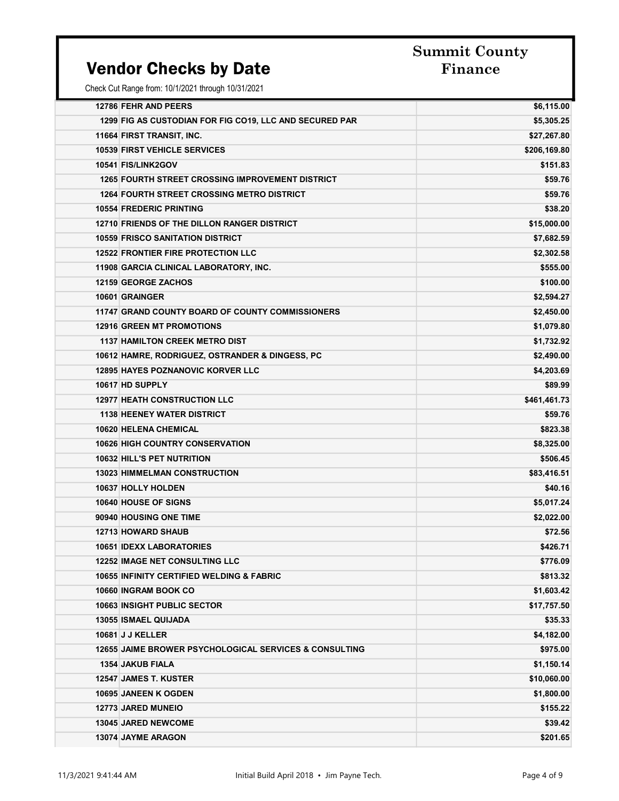### Vendor Checks by Date

| <b>12786 FEHR AND PEERS</b>                                       | \$6,115.00   |
|-------------------------------------------------------------------|--------------|
| 1299 FIG AS CUSTODIAN FOR FIG CO19, LLC AND SECURED PAR           | \$5,305.25   |
| 11664 FIRST TRANSIT, INC.                                         | \$27,267.80  |
| <b>10539 FIRST VEHICLE SERVICES</b>                               | \$206,169.80 |
| 10541 FIS/LINK2GOV                                                | \$151.83     |
| <b>1265 FOURTH STREET CROSSING IMPROVEMENT DISTRICT</b>           | \$59.76      |
| <b>1264 FOURTH STREET CROSSING METRO DISTRICT</b>                 | \$59.76      |
| <b>10554 FREDERIC PRINTING</b>                                    | \$38.20      |
| 12710 FRIENDS OF THE DILLON RANGER DISTRICT                       | \$15,000.00  |
| <b>10559 FRISCO SANITATION DISTRICT</b>                           | \$7,682.59   |
| <b>12522 FRONTIER FIRE PROTECTION LLC</b>                         | \$2,302.58   |
| 11908 GARCIA CLINICAL LABORATORY, INC.                            | \$555.00     |
| <b>12159 GEORGE ZACHOS</b>                                        | \$100.00     |
| 10601 GRAINGER                                                    | \$2,594.27   |
| 11747 GRAND COUNTY BOARD OF COUNTY COMMISSIONERS                  | \$2,450.00   |
| <b>12916 GREEN MT PROMOTIONS</b>                                  | \$1,079.80   |
| <b>1137 HAMILTON CREEK METRO DIST</b>                             | \$1,732.92   |
| 10612 HAMRE, RODRIGUEZ, OSTRANDER & DINGESS, PC                   | \$2,490.00   |
| <b>12895 HAYES POZNANOVIC KORVER LLC</b>                          | \$4,203.69   |
| 10617 HD SUPPLY                                                   | \$89.99      |
| <b>12977 HEATH CONSTRUCTION LLC</b>                               | \$461,461.73 |
| <b>1138 HEENEY WATER DISTRICT</b>                                 | \$59.76      |
| <b>10620 HELENA CHEMICAL</b>                                      | \$823.38     |
| <b>10626 HIGH COUNTRY CONSERVATION</b>                            | \$8,325.00   |
| <b>10632 HILL'S PET NUTRITION</b>                                 | \$506.45     |
| <b>13023 HIMMELMAN CONSTRUCTION</b>                               | \$83,416.51  |
| 10637 HOLLY HOLDEN                                                | \$40.16      |
| 10640 HOUSE OF SIGNS                                              | \$5,017.24   |
| 90940 HOUSING ONE TIME                                            | \$2,022.00   |
| <b>12713 HOWARD SHAUB</b>                                         | \$72.56      |
| <b>10651 IDEXX LABORATORIES</b>                                   | \$426.71     |
| <b>12252 IMAGE NET CONSULTING LLC</b>                             | \$776.09     |
| <b>10655 INFINITY CERTIFIED WELDING &amp; FABRIC</b>              | \$813.32     |
| 10660 INGRAM BOOK CO                                              | \$1,603.42   |
| <b>10663 INSIGHT PUBLIC SECTOR</b>                                | \$17,757.50  |
| <b>13055 ISMAEL QUIJADA</b>                                       | \$35.33      |
| <b>10681 J J KELLER</b>                                           | \$4,182.00   |
| <b>12655 JAIME BROWER PSYCHOLOGICAL SERVICES &amp; CONSULTING</b> | \$975.00     |
| 1354 JAKUB FIALA                                                  | \$1,150.14   |
| <b>12547 JAMES T. KUSTER</b>                                      | \$10,060.00  |
| 10695 JANEEN K OGDEN                                              | \$1,800.00   |
| <b>12773 JARED MUNEIO</b>                                         | \$155.22     |
| <b>13045 JARED NEWCOME</b>                                        | \$39.42      |
| <b>13074 JAYME ARAGON</b>                                         | \$201.65     |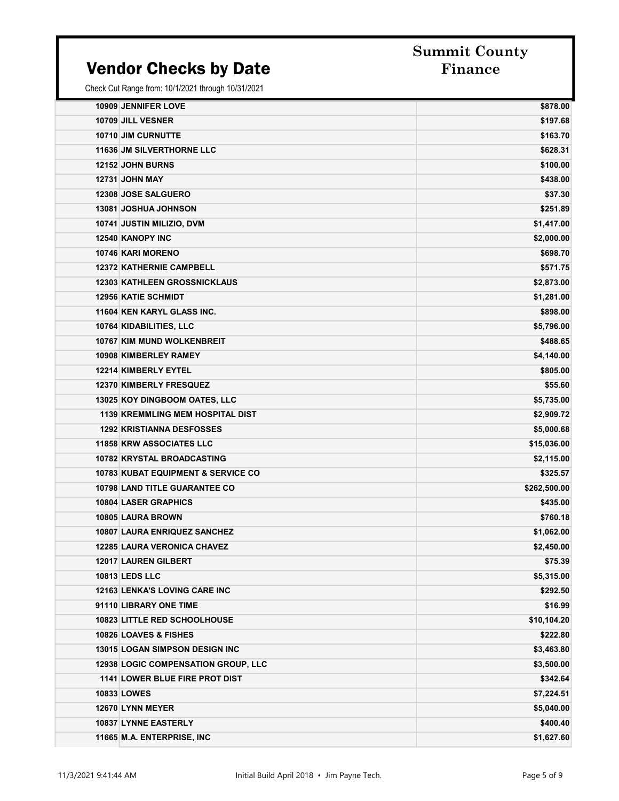#### Vendor Checks by Date Finance

| <b>10909 JENNIFER LOVE</b>                    | \$878.00     |
|-----------------------------------------------|--------------|
| 10709 JILL VESNER                             | \$197.68     |
| 10710 JIM CURNUTTE                            | \$163.70     |
| <b>11636 JM SILVERTHORNE LLC</b>              | \$628.31     |
| <b>12152 JOHN BURNS</b>                       | \$100.00     |
| <b>12731 JOHN MAY</b>                         | \$438.00     |
| 12308 JOSE SALGUERO                           | \$37.30      |
| <b>13081 JOSHUA JOHNSON</b>                   | \$251.89     |
| 10741 JUSTIN MILIZIO, DVM                     | \$1,417.00   |
| 12540 KANOPY INC                              | \$2,000.00   |
| <b>10746 KARI MORENO</b>                      | \$698.70     |
| <b>12372 KATHERNIE CAMPBELL</b>               | \$571.75     |
| <b>12303 KATHLEEN GROSSNICKLAUS</b>           | \$2,873.00   |
| <b>12956 KATIE SCHMIDT</b>                    | \$1,281.00   |
| 11604 KEN KARYL GLASS INC.                    | \$898.00     |
| 10764 KIDABILITIES, LLC                       | \$5,796.00   |
| 10767 KIM MUND WOLKENBREIT                    | \$488.65     |
| <b>10908 KIMBERLEY RAMEY</b>                  | \$4,140.00   |
| 12214 KIMBERLY EYTEL                          | \$805.00     |
| <b>12370 KIMBERLY FRESQUEZ</b>                | \$55.60      |
| 13025 KOY DINGBOOM OATES, LLC                 | \$5,735.00   |
| <b>1139 KREMMLING MEM HOSPITAL DIST</b>       | \$2,909.72   |
| <b>1292 KRISTIANNA DESFOSSES</b>              | \$5,000.68   |
| <b>11858 KRW ASSOCIATES LLC</b>               | \$15,036.00  |
| 10782 KRYSTAL BROADCASTING                    | \$2,115.00   |
| <b>10783 KUBAT EQUIPMENT &amp; SERVICE CO</b> | \$325.57     |
| <b>10798 LAND TITLE GUARANTEE CO</b>          | \$262,500.00 |
| <b>10804 LASER GRAPHICS</b>                   | \$435.00     |
| 10805 LAURA BROWN                             | \$760.18     |
| <b>10807 LAURA ENRIQUEZ SANCHEZ</b>           | \$1,062.00   |
| <b>12285 LAURA VERONICA CHAVEZ</b>            | \$2,450.00   |
| <b>12017 LAUREN GILBERT</b>                   | \$75.39      |
| <b>10813 LEDS LLC</b>                         | \$5,315.00   |
| 12163 LENKA'S LOVING CARE INC                 | \$292.50     |
| 91110 LIBRARY ONE TIME                        | \$16.99      |
| 10823 LITTLE RED SCHOOLHOUSE                  | \$10,104.20  |
| 10826 LOAVES & FISHES                         | \$222.80     |
| <b>13015 LOGAN SIMPSON DESIGN INC</b>         | \$3,463.80   |
| <b>12938 LOGIC COMPENSATION GROUP, LLC</b>    | \$3,500.00   |
| <b>1141 LOWER BLUE FIRE PROT DIST</b>         | \$342.64     |
| <b>10833 LOWES</b>                            | \$7,224.51   |
| 12670 LYNN MEYER                              | \$5,040.00   |
| 10837 LYNNE EASTERLY                          | \$400.40     |
| 11665 M.A. ENTERPRISE, INC                    | \$1,627.60   |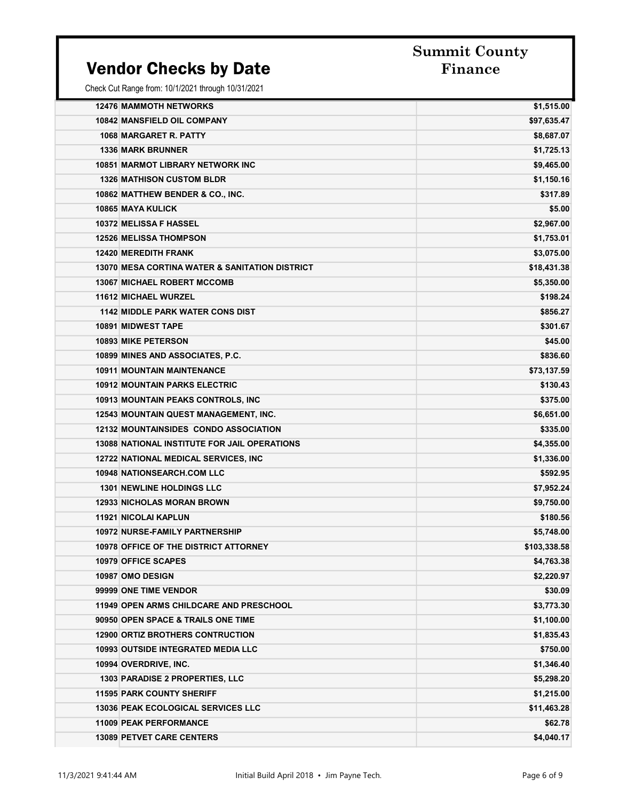### Vendor Checks by Date

# Summit County

| <b>12476 MAMMOTH NETWORKS</b><br>10842 MANSFIELD OIL COMPANY<br>1068 MARGARET R. PATTY | \$1,515.00<br>\$97,635.47 |
|----------------------------------------------------------------------------------------|---------------------------|
|                                                                                        |                           |
|                                                                                        |                           |
|                                                                                        | \$8,687.07                |
| <b>1336 MARK BRUNNER</b>                                                               | \$1,725.13                |
| <b>10851 MARMOT LIBRARY NETWORK INC</b>                                                | \$9,465.00                |
| <b>1326 MATHISON CUSTOM BLDR</b>                                                       | \$1,150.16                |
| 10862 MATTHEW BENDER & CO., INC.                                                       | \$317.89                  |
| <b>10865 MAYA KULICK</b>                                                               | \$5.00                    |
| 10372 MELISSA F HASSEL                                                                 | \$2,967.00                |
| <b>12526 MELISSA THOMPSON</b>                                                          | \$1,753.01                |
| <b>12420 MEREDITH FRANK</b>                                                            | \$3,075.00                |
| 13070 MESA CORTINA WATER & SANITATION DISTRICT                                         | \$18,431.38               |
| <b>13067 MICHAEL ROBERT MCCOMB</b>                                                     | \$5,350.00                |
| <b>11612 MICHAEL WURZEL</b>                                                            | \$198.24                  |
| <b>1142 MIDDLE PARK WATER CONS DIST</b>                                                | \$856.27                  |
| <b>10891 MIDWEST TAPE</b>                                                              | \$301.67                  |
| <b>10893 MIKE PETERSON</b>                                                             | \$45.00                   |
| 10899 MINES AND ASSOCIATES, P.C.                                                       | \$836.60                  |
| <b>10911 MOUNTAIN MAINTENANCE</b>                                                      | \$73,137.59               |
| <b>10912 MOUNTAIN PARKS ELECTRIC</b>                                                   | \$130.43                  |
| <b>10913 MOUNTAIN PEAKS CONTROLS, INC.</b>                                             | \$375.00                  |
| <b>12543 MOUNTAIN QUEST MANAGEMENT, INC.</b>                                           | \$6,651.00                |
| <b>12132 MOUNTAINSIDES CONDO ASSOCIATION</b>                                           | \$335.00                  |
| <b>13088 NATIONAL INSTITUTE FOR JAIL OPERATIONS</b>                                    | \$4,355.00                |
| <b>12722 NATIONAL MEDICAL SERVICES, INC</b>                                            | \$1,336.00                |
| <b>10948 NATIONSEARCH.COM LLC</b>                                                      | \$592.95                  |
| <b>1301 NEWLINE HOLDINGS LLC</b>                                                       | \$7,952.24                |
| <b>12933 NICHOLAS MORAN BROWN</b>                                                      | \$9,750.00                |
| <b>11921 NICOLAI KAPLUN</b>                                                            | \$180.56                  |
| <b>10972 NURSE-FAMILY PARTNERSHIP</b>                                                  | \$5,748.00                |
| <b>10978 OFFICE OF THE DISTRICT ATTORNEY</b>                                           | \$103,338.58              |
| <b>10979 OFFICE SCAPES</b>                                                             | \$4,763.38                |
| 10987 OMO DESIGN                                                                       | \$2,220.97                |
| 99999 ONE TIME VENDOR                                                                  | \$30.09                   |
| <b>11949 OPEN ARMS CHILDCARE AND PRESCHOOL</b>                                         | \$3,773.30                |
| 90950 OPEN SPACE & TRAILS ONE TIME                                                     | \$1,100.00                |
| <b>12900 ORTIZ BROTHERS CONTRUCTION</b>                                                | \$1,835.43                |
| <b>10993 OUTSIDE INTEGRATED MEDIA LLC</b>                                              | \$750.00                  |
| 10994 OVERDRIVE, INC.                                                                  | \$1,346.40                |
| <b>1303 PARADISE 2 PROPERTIES, LLC</b>                                                 | \$5,298.20                |
| <b>11595 PARK COUNTY SHERIFF</b>                                                       | \$1,215.00                |
| <b>13036 PEAK ECOLOGICAL SERVICES LLC</b>                                              | \$11,463.28               |
| <b>11009 PEAK PERFORMANCE</b>                                                          | \$62.78                   |
| <b>13089 PETVET CARE CENTERS</b>                                                       | \$4,040.17                |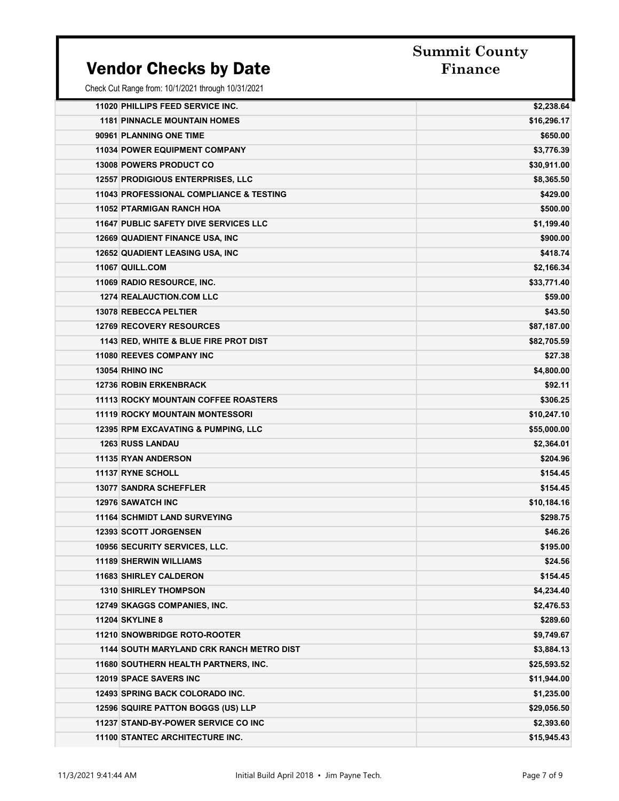### Vendor Checks by Date Finance

## Summit County

| 11020 PHILLIPS FEED SERVICE INC.                   | \$2,238.64  |
|----------------------------------------------------|-------------|
| <b>1181 PINNACLE MOUNTAIN HOMES</b>                | \$16,296.17 |
| 90961 PLANNING ONE TIME                            | \$650.00    |
| <b>11034 POWER EQUIPMENT COMPANY</b>               | \$3,776.39  |
| <b>13008 POWERS PRODUCT CO</b>                     | \$30,911.00 |
| <b>12557 PRODIGIOUS ENTERPRISES, LLC</b>           | \$8,365.50  |
| <b>11043 PROFESSIONAL COMPLIANCE &amp; TESTING</b> | \$429.00    |
| <b>11052 PTARMIGAN RANCH HOA</b>                   | \$500.00    |
| <b>11647 PUBLIC SAFETY DIVE SERVICES LLC</b>       | \$1,199.40  |
| <b>12669 QUADIENT FINANCE USA, INC</b>             | \$900.00    |
| <b>12652 QUADIENT LEASING USA, INC</b>             | \$418.74    |
| 11067 QUILL.COM                                    | \$2,166.34  |
| 11069 RADIO RESOURCE, INC.                         | \$33,771.40 |
| <b>1274 REALAUCTION.COM LLC</b>                    | \$59.00     |
| <b>13078 REBECCA PELTIER</b>                       | \$43.50     |
| <b>12769 RECOVERY RESOURCES</b>                    | \$87,187.00 |
| 1143 RED, WHITE & BLUE FIRE PROT DIST              | \$82,705.59 |
| <b>11080 REEVES COMPANY INC</b>                    | \$27.38     |
| 13054 RHINO INC                                    | \$4,800.00  |
| <b>12736 ROBIN ERKENBRACK</b>                      | \$92.11     |
| <b>11113 ROCKY MOUNTAIN COFFEE ROASTERS</b>        | \$306.25    |
| <b>11119 ROCKY MOUNTAIN MONTESSORI</b>             | \$10,247.10 |
| <b>12395 RPM EXCAVATING &amp; PUMPING, LLC</b>     | \$55,000.00 |
| <b>1263 RUSS LANDAU</b>                            | \$2,364.01  |
| 11135 RYAN ANDERSON                                | \$204.96    |
| <b>11137 RYNE SCHOLL</b>                           | \$154.45    |
| <b>13077 SANDRA SCHEFFLER</b>                      | \$154.45    |
| <b>12976 SAWATCH INC</b>                           | \$10,184.16 |
| <b>11164 SCHMIDT LAND SURVEYING</b>                | \$298.75    |
| <b>12393 SCOTT JORGENSEN</b>                       | \$46.26     |
| <b>10956 SECURITY SERVICES, LLC.</b>               | \$195.00    |
| <b>11189 SHERWIN WILLIAMS</b>                      | \$24.56     |
| <b>11683 SHIRLEY CALDERON</b>                      | \$154.45    |
| <b>1310 SHIRLEY THOMPSON</b>                       | \$4,234.40  |
| 12749 SKAGGS COMPANIES, INC.                       | \$2,476.53  |
| <b>11204 SKYLINE 8</b>                             | \$289.60    |
| 11210 SNOWBRIDGE ROTO-ROOTER                       | \$9,749.67  |
| <b>1144 SOUTH MARYLAND CRK RANCH METRO DIST</b>    | \$3,884.13  |
| 11680 SOUTHERN HEALTH PARTNERS, INC.               | \$25,593.52 |
| <b>12019 SPACE SAVERS INC</b>                      | \$11,944.00 |
| 12493 SPRING BACK COLORADO INC.                    | \$1,235.00  |
| 12596 SQUIRE PATTON BOGGS (US) LLP                 | \$29,056.50 |
| 11237 STAND-BY-POWER SERVICE CO INC                | \$2,393.60  |
| 11100 STANTEC ARCHITECTURE INC.                    | \$15,945.43 |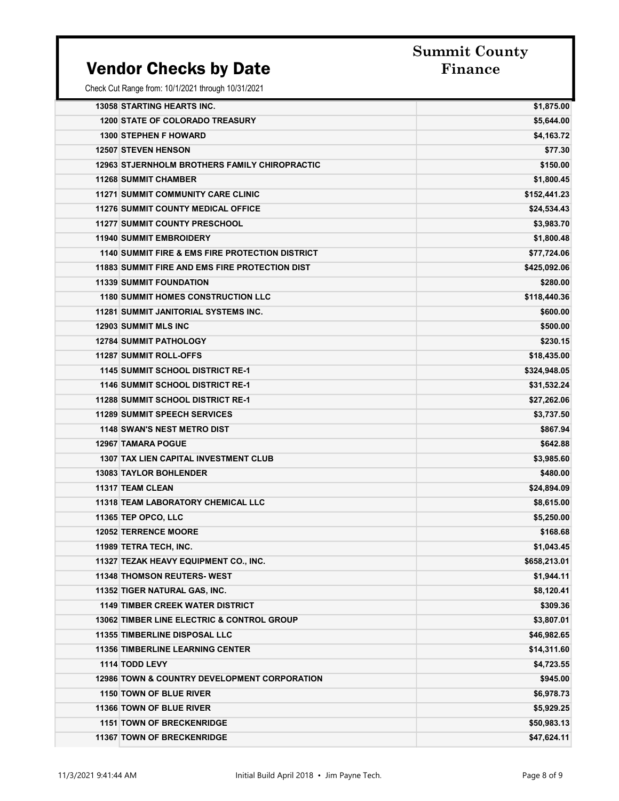### Vendor Checks by Date Finance

| <b>13058 STARTING HEARTS INC.</b>                          | \$1,875.00   |
|------------------------------------------------------------|--------------|
| <b>1200 STATE OF COLORADO TREASURY</b>                     | \$5,644.00   |
| <b>1300 STEPHEN F HOWARD</b>                               | \$4,163.72   |
| <b>12507 STEVEN HENSON</b>                                 | \$77.30      |
| <b>12963 STJERNHOLM BROTHERS FAMILY CHIROPRACTIC</b>       | \$150.00     |
| <b>11268 SUMMIT CHAMBER</b>                                | \$1,800.45   |
| <b>11271 SUMMIT COMMUNITY CARE CLINIC</b>                  | \$152,441.23 |
| <b>11276 SUMMIT COUNTY MEDICAL OFFICE</b>                  | \$24,534.43  |
| <b>11277 SUMMIT COUNTY PRESCHOOL</b>                       | \$3,983.70   |
| <b>11940 SUMMIT EMBROIDERY</b>                             | \$1,800.48   |
| <b>1140 SUMMIT FIRE &amp; EMS FIRE PROTECTION DISTRICT</b> | \$77,724.06  |
| <b>11883 SUMMIT FIRE AND EMS FIRE PROTECTION DIST</b>      | \$425,092.06 |
| <b>11339 SUMMIT FOUNDATION</b>                             | \$280.00     |
| <b>1180 SUMMIT HOMES CONSTRUCTION LLC</b>                  | \$118,440.36 |
| 11281 SUMMIT JANITORIAL SYSTEMS INC.                       | \$600.00     |
| <b>12903 SUMMIT MLS INC</b>                                | \$500.00     |
| <b>12784 SUMMIT PATHOLOGY</b>                              | \$230.15     |
| <b>11287 SUMMIT ROLL-OFFS</b>                              | \$18,435.00  |
| <b>1145 SUMMIT SCHOOL DISTRICT RE-1</b>                    | \$324,948.05 |
| <b>1146 SUMMIT SCHOOL DISTRICT RE-1</b>                    | \$31,532.24  |
| <b>11288 SUMMIT SCHOOL DISTRICT RE-1</b>                   | \$27,262.06  |
| <b>11289 SUMMIT SPEECH SERVICES</b>                        | \$3,737.50   |
| <b>1148 SWAN'S NEST METRO DIST</b>                         | \$867.94     |
| <b>12967 TAMARA POGUE</b>                                  | \$642.88     |
| <b>1307 TAX LIEN CAPITAL INVESTMENT CLUB</b>               | \$3,985.60   |
| <b>13083 TAYLOR BOHLENDER</b>                              | \$480.00     |
| <b>11317 TEAM CLEAN</b>                                    | \$24,894.09  |
| <b>11318 TEAM LABORATORY CHEMICAL LLC</b>                  | \$8,615.00   |
| 11365 TEP OPCO, LLC                                        | \$5,250.00   |
| <b>12052 TERRENCE MOORE</b>                                | \$168.68     |
| 11989 TETRA TECH, INC.                                     | \$1,043.45   |
| 11327 TEZAK HEAVY EQUIPMENT CO., INC.                      | \$658,213.01 |
| <b>11348 THOMSON REUTERS- WEST</b>                         | \$1,944.11   |
| 11352 TIGER NATURAL GAS, INC.                              | \$8,120.41   |
| <b>1149 TIMBER CREEK WATER DISTRICT</b>                    | \$309.36     |
| <b>13062 TIMBER LINE ELECTRIC &amp; CONTROL GROUP</b>      | \$3,807.01   |
| <b>11355 TIMBERLINE DISPOSAL LLC</b>                       | \$46,982.65  |
| <b>11356 TIMBERLINE LEARNING CENTER</b>                    | \$14,311.60  |
| 1114 TODD LEVY                                             | \$4,723.55   |
| <b>12986 TOWN &amp; COUNTRY DEVELOPMENT CORPORATION</b>    | \$945.00     |
| 1150 TOWN OF BLUE RIVER                                    | \$6,978.73   |
| <b>11366 TOWN OF BLUE RIVER</b>                            | \$5,929.25   |
| <b>1151 TOWN OF BRECKENRIDGE</b>                           | \$50,983.13  |
| 11367 TOWN OF BRECKENRIDGE                                 | \$47,624.11  |